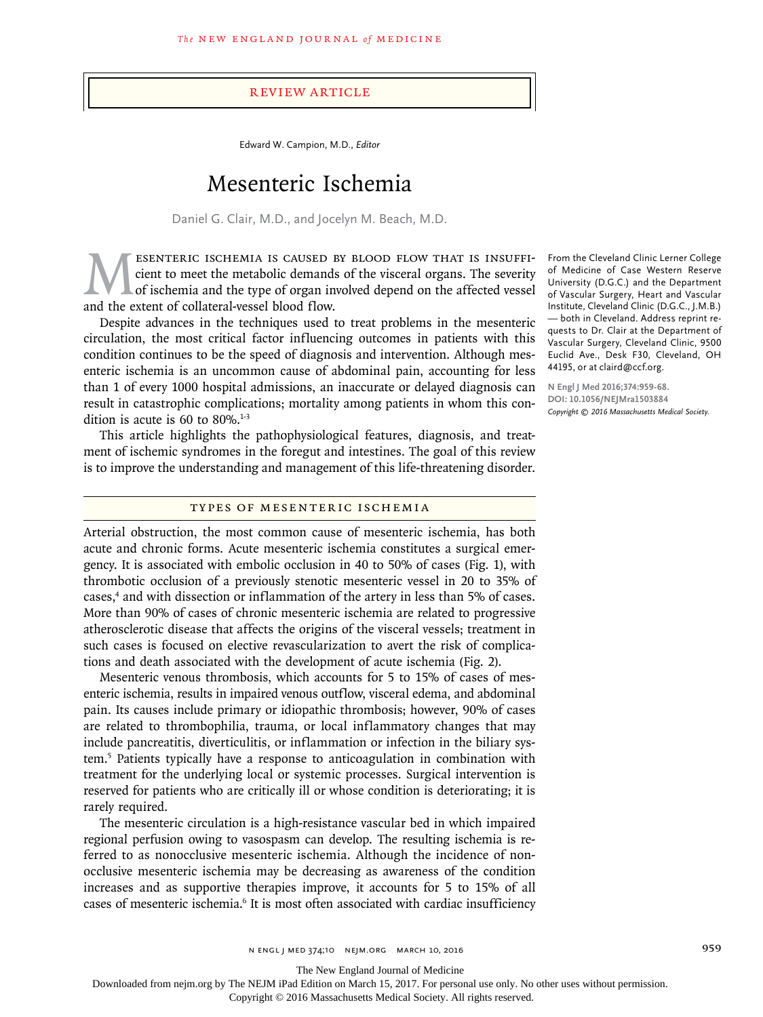# Review Article

Edward W. Campion, M.D., *Editor*

# Mesenteric Ischemia

Daniel G. Clair, M.D., and Jocelyn M. Beach, M.D.

ESENTERIC ISCHEMIA IS CAUSED BY BLOOD FLOW THAT IS INSUFFICIENT OF ischemia and the type of organ involved depend on the affected vessel<br>and the extent of collateral-vessel blood flow. cient to meet the metabolic demands of the visceral organs. The severity of ischemia and the type of organ involved depend on the affected vessel and the extent of collateral-vessel blood flow.

Despite advances in the techniques used to treat problems in the mesenteric circulation, the most critical factor influencing outcomes in patients with this condition continues to be the speed of diagnosis and intervention. Although mesenteric ischemia is an uncommon cause of abdominal pain, accounting for less than 1 of every 1000 hospital admissions, an inaccurate or delayed diagnosis can result in catastrophic complications; mortality among patients in whom this condition is acute is 60 to  $80\%$ .<sup>1-3</sup>

This article highlights the pathophysiological features, diagnosis, and treatment of ischemic syndromes in the foregut and intestines. The goal of this review is to improve the understanding and management of this life-threatening disorder.

#### Types of Mesenteric Ischemia

Arterial obstruction, the most common cause of mesenteric ischemia, has both acute and chronic forms. Acute mesenteric ischemia constitutes a surgical emergency. It is associated with embolic occlusion in 40 to 50% of cases (Fig. 1), with thrombotic occlusion of a previously stenotic mesenteric vessel in 20 to 35% of cases,4 and with dissection or inflammation of the artery in less than 5% of cases. More than 90% of cases of chronic mesenteric ischemia are related to progressive atherosclerotic disease that affects the origins of the visceral vessels; treatment in such cases is focused on elective revascularization to avert the risk of complications and death associated with the development of acute ischemia (Fig. 2).

Mesenteric venous thrombosis, which accounts for 5 to 15% of cases of mesenteric ischemia, results in impaired venous outflow, visceral edema, and abdominal pain. Its causes include primary or idiopathic thrombosis; however, 90% of cases are related to thrombophilia, trauma, or local inflammatory changes that may include pancreatitis, diverticulitis, or inflammation or infection in the biliary system.5 Patients typically have a response to anticoagulation in combination with treatment for the underlying local or systemic processes. Surgical intervention is reserved for patients who are critically ill or whose condition is deteriorating; it is rarely required.

The mesenteric circulation is a high-resistance vascular bed in which impaired regional perfusion owing to vasospasm can develop. The resulting ischemia is referred to as nonocclusive mesenteric ischemia. Although the incidence of nonocclusive mesenteric ischemia may be decreasing as awareness of the condition increases and as supportive therapies improve, it accounts for 5 to 15% of all cases of mesenteric ischemia.<sup>6</sup> It is most often associated with cardiac insufficiency

From the Cleveland Clinic Lerner College of Medicine of Case Western Reserve University (D.G.C.) and the Department of Vascular Surgery, Heart and Vascular Institute, Cleveland Clinic (D.G.C., J.M.B.) — both in Cleveland. Address reprint requests to Dr. Clair at the Department of Vascular Surgery, Cleveland Clinic, 9500 Euclid Ave., Desk F30, Cleveland, OH 44195, or at claird@ccf.org.

**N Engl J Med 2016;374:959-68. DOI: 10.1056/NEJMra1503884** *Copyright © 2016 Massachusetts Medical Society.*

The New England Journal of Medicine

Downloaded from nejm.org by The NEJM iPad Edition on March 15, 2017. For personal use only. No other uses without permission.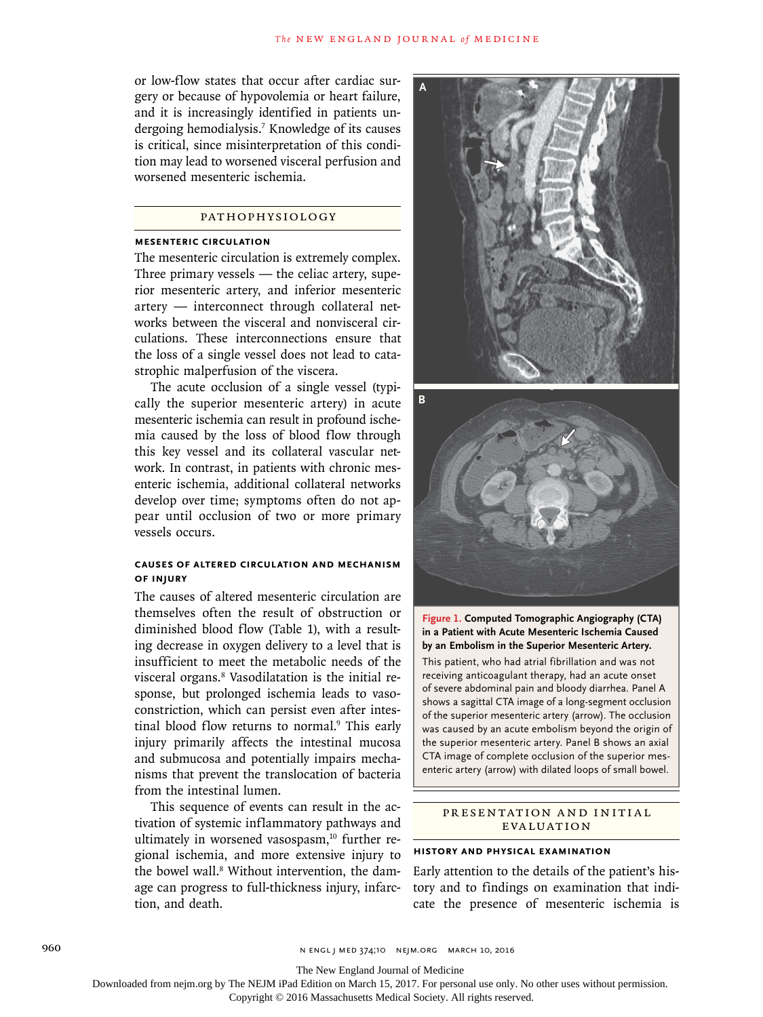or low-flow states that occur after cardiac surgery or because of hypovolemia or heart failure, and it is increasingly identified in patients undergoing hemodialysis.<sup>7</sup> Knowledge of its causes is critical, since misinterpretation of this condition may lead to worsened visceral perfusion and worsened mesenteric ischemia.

## Pathophysiology

#### **Mesenteric Circulation**

The mesenteric circulation is extremely complex. Three primary vessels — the celiac artery, superior mesenteric artery, and inferior mesenteric artery — interconnect through collateral networks between the visceral and nonvisceral circulations. These interconnections ensure that the loss of a single vessel does not lead to catastrophic malperfusion of the viscera.

The acute occlusion of a single vessel (typically the superior mesenteric artery) in acute mesenteric ischemia can result in profound ischemia caused by the loss of blood flow through this key vessel and its collateral vascular network. In contrast, in patients with chronic mesenteric ischemia, additional collateral networks develop over time; symptoms often do not appear until occlusion of two or more primary vessels occurs.

#### **Causes of Altered Circulation and Mechanism of Injury**

The causes of altered mesenteric circulation are themselves often the result of obstruction or diminished blood flow (Table 1), with a resulting decrease in oxygen delivery to a level that is insufficient to meet the metabolic needs of the visceral organs.8 Vasodilatation is the initial response, but prolonged ischemia leads to vasoconstriction, which can persist even after intestinal blood flow returns to normal.<sup>9</sup> This early injury primarily affects the intestinal mucosa and submucosa and potentially impairs mechanisms that prevent the translocation of bacteria from the intestinal lumen.

This sequence of events can result in the activation of systemic inflammatory pathways and ultimately in worsened vasospasm,<sup>10</sup> further regional ischemia, and more extensive injury to the bowel wall.<sup>8</sup> Without intervention, the damage can progress to full-thickness injury, infarction, and death.





**Figure 1. Computed Tomographic Angiography (CTA) in a Patient with Acute Mesenteric Ischemia Caused by an Embolism in the Superior Mesenteric Artery.** This patient, who had atrial fibrillation and was not receiving anticoagulant therapy, had an acute onset of severe abdominal pain and bloody diarrhea. Panel A shows a sagittal CTA image of a long-segment occlusion of the superior mesenteric artery (arrow). The occlusion was caused by an acute embolism beyond the origin of the superior mesenteric artery. Panel B shows an axial CTA image of complete occlusion of the superior mesenteric artery (arrow) with dilated loops of small bowel.

## PR ESENTATION AND INITIAL **EVALUATION**

#### **History and Physical Examination**

Early attention to the details of the patient's history and to findings on examination that indicate the presence of mesenteric ischemia is

The New England Journal of Medicine

Downloaded from nejm.org by The NEJM iPad Edition on March 15, 2017. For personal use only. No other uses without permission.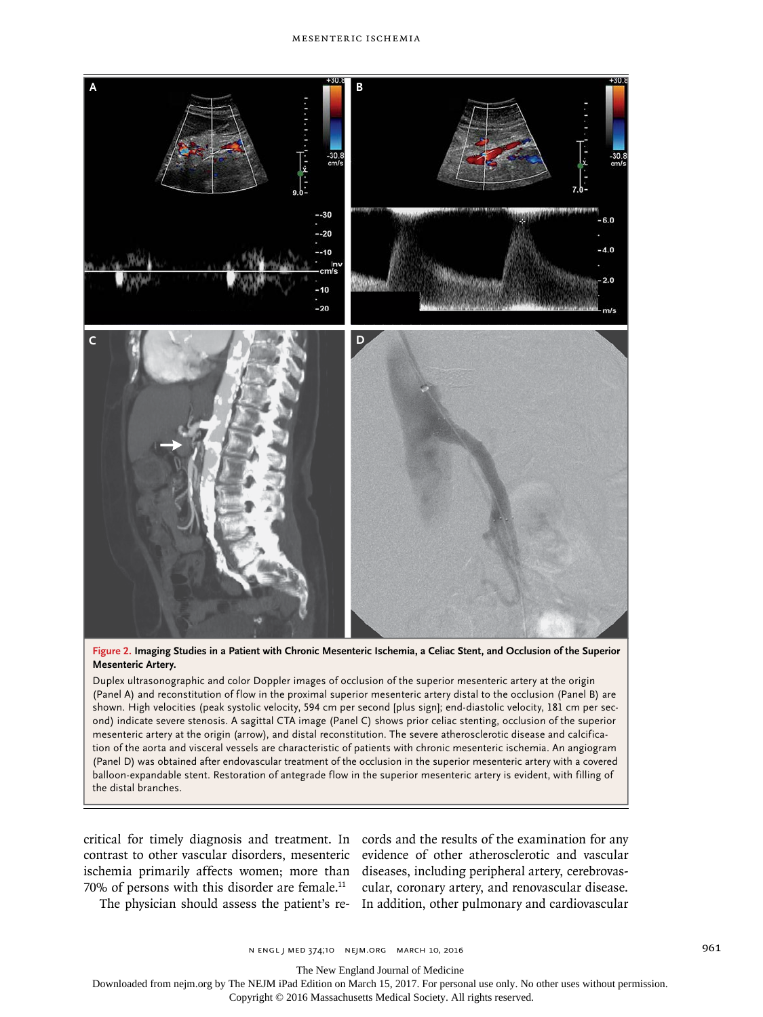

**Figure 2. Imaging Studies in a Patient with Chronic Mesenteric Ischemia, a Celiac Stent, and Occlusion of the Superior Mesenteric Artery.**

Duplex ultrasonographic and color Doppler images of occlusion of the superior mesenteric artery at the origin (Panel A) and reconstitution of flow in the proximal superior mesenteric artery distal to the occlusion (Panel B) are shown. High velocities (peak systolic velocity, 594 cm per second [plus sign]; end-diastolic velocity, 181 cm per second) indicate severe stenosis. A sagittal CTA image (Panel C) shows prior celiac stenting, occlusion of the superior mesenteric artery at the origin (arrow), and distal reconstitution. The severe atherosclerotic disease and calcification of the aorta and visceral vessels are characteristic of patients with chronic mesenteric ischemia. An angiogram (Panel D) was obtained after endovascular treatment of the occlusion in the superior mesenteric artery with a covered balloon-expandable stent. Restoration of antegrade flow in the superior mesenteric artery is evident, with filling of the distal branches.

critical for timely diagnosis and treatment. In cords and the results of the examination for any contrast to other vascular disorders, mesenteric evidence of other atherosclerotic and vascular ischemia primarily affects women; more than diseases, including peripheral artery, cerebrovas-70% of persons with this disorder are female.<sup>11</sup>

The physician should assess the patient's re-In addition, other pulmonary and cardiovascular cular, coronary artery, and renovascular disease.

The New England Journal of Medicine

Downloaded from nejm.org by The NEJM iPad Edition on March 15, 2017. For personal use only. No other uses without permission.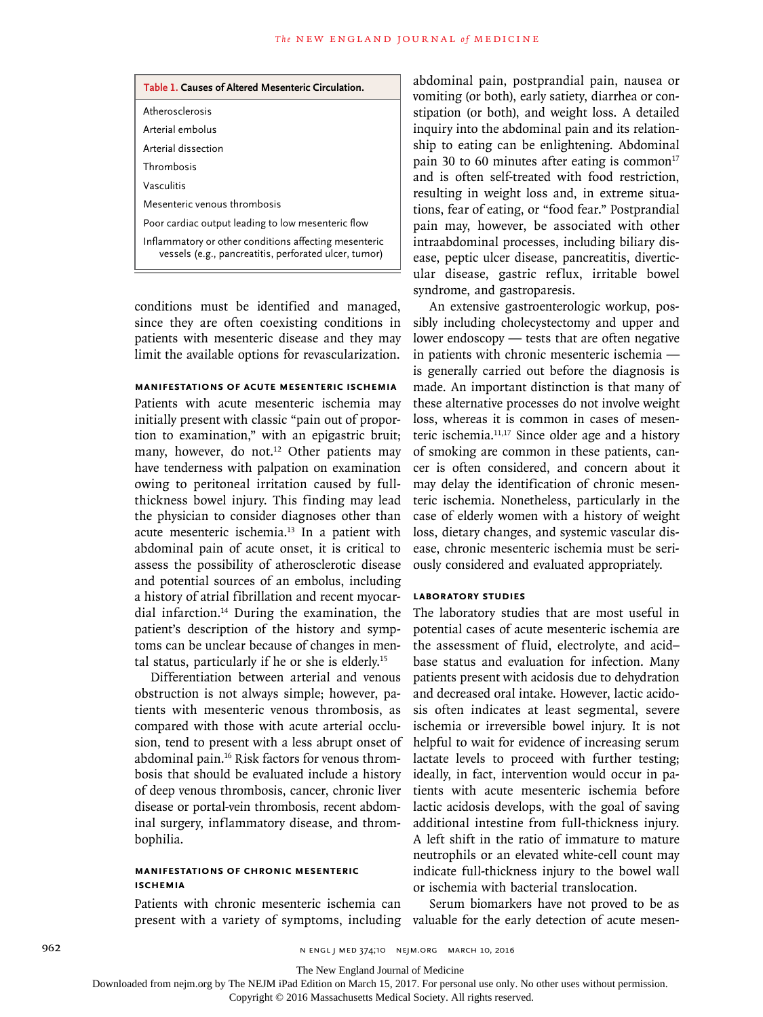| Table 1. Causes of Altered Mesenteric Circulation.                                                             |
|----------------------------------------------------------------------------------------------------------------|
| Atherosclerosis                                                                                                |
| Arterial embolus                                                                                               |
| Arterial dissection                                                                                            |
| Thrombosis                                                                                                     |
| Vasculitis                                                                                                     |
| Mesenteric venous thrombosis                                                                                   |
| Poor cardiac output leading to low mesenteric flow                                                             |
| Inflammatory or other conditions affecting mesenteric<br>vessels (e.g., pancreatitis, perforated ulcer, tumor) |

conditions must be identified and managed, since they are often coexisting conditions in patients with mesenteric disease and they may limit the available options for revascularization.

#### **Manifestations of Acute Mesenteric Ischemia**

Patients with acute mesenteric ischemia may initially present with classic "pain out of proportion to examination," with an epigastric bruit; many, however, do not.<sup>12</sup> Other patients may have tenderness with palpation on examination owing to peritoneal irritation caused by fullthickness bowel injury. This finding may lead the physician to consider diagnoses other than acute mesenteric ischemia.13 In a patient with abdominal pain of acute onset, it is critical to assess the possibility of atherosclerotic disease and potential sources of an embolus, including a history of atrial fibrillation and recent myocardial infarction.14 During the examination, the patient's description of the history and symptoms can be unclear because of changes in mental status, particularly if he or she is elderly.15

Differentiation between arterial and venous obstruction is not always simple; however, patients with mesenteric venous thrombosis, as compared with those with acute arterial occlusion, tend to present with a less abrupt onset of abdominal pain.16 Risk factors for venous thrombosis that should be evaluated include a history of deep venous thrombosis, cancer, chronic liver disease or portal-vein thrombosis, recent abdominal surgery, inflammatory disease, and thrombophilia.

#### **Manifestations of Chronic Mesenteric Ischemia**

Patients with chronic mesenteric ischemia can

abdominal pain, postprandial pain, nausea or vomiting (or both), early satiety, diarrhea or constipation (or both), and weight loss. A detailed inquiry into the abdominal pain and its relationship to eating can be enlightening. Abdominal pain 30 to 60 minutes after eating is common $17$ and is often self-treated with food restriction, resulting in weight loss and, in extreme situations, fear of eating, or "food fear." Postprandial pain may, however, be associated with other intraabdominal processes, including biliary disease, peptic ulcer disease, pancreatitis, diverticular disease, gastric reflux, irritable bowel syndrome, and gastroparesis.

An extensive gastroenterologic workup, possibly including cholecystectomy and upper and lower endoscopy — tests that are often negative in patients with chronic mesenteric ischemia is generally carried out before the diagnosis is made. An important distinction is that many of these alternative processes do not involve weight loss, whereas it is common in cases of mesenteric ischemia.11,17 Since older age and a history of smoking are common in these patients, cancer is often considered, and concern about it may delay the identification of chronic mesenteric ischemia. Nonetheless, particularly in the case of elderly women with a history of weight loss, dietary changes, and systemic vascular disease, chronic mesenteric ischemia must be seriously considered and evaluated appropriately.

#### **Laboratory Studies**

The laboratory studies that are most useful in potential cases of acute mesenteric ischemia are the assessment of fluid, electrolyte, and acid– base status and evaluation for infection. Many patients present with acidosis due to dehydration and decreased oral intake. However, lactic acidosis often indicates at least segmental, severe ischemia or irreversible bowel injury. It is not helpful to wait for evidence of increasing serum lactate levels to proceed with further testing; ideally, in fact, intervention would occur in patients with acute mesenteric ischemia before lactic acidosis develops, with the goal of saving additional intestine from full-thickness injury. A left shift in the ratio of immature to mature neutrophils or an elevated white-cell count may indicate full-thickness injury to the bowel wall or ischemia with bacterial translocation.

present with a variety of symptoms, including valuable for the early detection of acute mesen-Serum biomarkers have not proved to be as

The New England Journal of Medicine

Downloaded from nejm.org by The NEJM iPad Edition on March 15, 2017. For personal use only. No other uses without permission.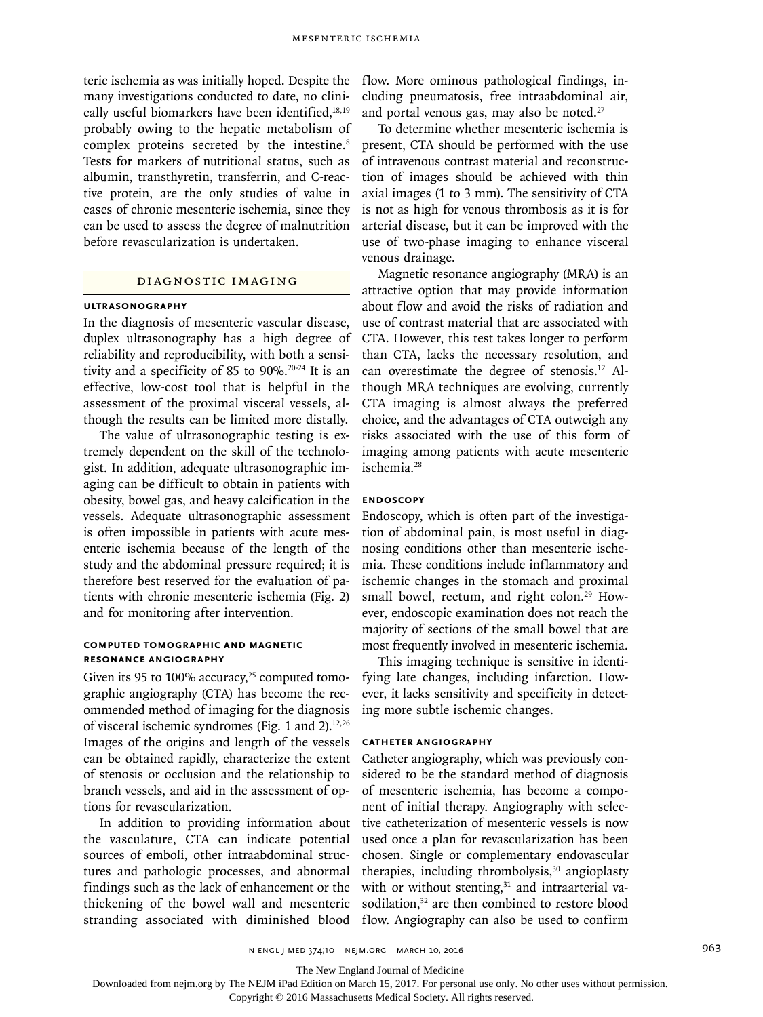teric ischemia as was initially hoped. Despite the many investigations conducted to date, no clinically useful biomarkers have been identified, $18,19$ probably owing to the hepatic metabolism of complex proteins secreted by the intestine.<sup>8</sup> Tests for markers of nutritional status, such as albumin, transthyretin, transferrin, and C-reactive protein, are the only studies of value in cases of chronic mesenteric ischemia, since they can be used to assess the degree of malnutrition before revascularization is undertaken.

#### Diagnostic Imaging

#### **Ultrasonography**

In the diagnosis of mesenteric vascular disease, duplex ultrasonography has a high degree of reliability and reproducibility, with both a sensitivity and a specificity of 85 to 90%.<sup>20-24</sup> It is an effective, low-cost tool that is helpful in the assessment of the proximal visceral vessels, although the results can be limited more distally.

The value of ultrasonographic testing is extremely dependent on the skill of the technologist. In addition, adequate ultrasonographic imaging can be difficult to obtain in patients with obesity, bowel gas, and heavy calcification in the vessels. Adequate ultrasonographic assessment is often impossible in patients with acute mesenteric ischemia because of the length of the study and the abdominal pressure required; it is therefore best reserved for the evaluation of patients with chronic mesenteric ischemia (Fig. 2) and for monitoring after intervention.

#### **Computed Tomographic and Magnetic Resonance Angiography**

Given its 95 to 100% accuracy,<sup>25</sup> computed tomographic angiography (CTA) has become the recommended method of imaging for the diagnosis of visceral ischemic syndromes (Fig. 1 and 2). $12,26$ Images of the origins and length of the vessels can be obtained rapidly, characterize the extent of stenosis or occlusion and the relationship to branch vessels, and aid in the assessment of options for revascularization.

In addition to providing information about the vasculature, CTA can indicate potential sources of emboli, other intraabdominal structures and pathologic processes, and abnormal findings such as the lack of enhancement or the thickening of the bowel wall and mesenteric stranding associated with diminished blood

flow. More ominous pathological findings, including pneumatosis, free intraabdominal air, and portal venous gas, may also be noted. $27$ 

To determine whether mesenteric ischemia is present, CTA should be performed with the use of intravenous contrast material and reconstruction of images should be achieved with thin axial images (1 to 3 mm). The sensitivity of CTA is not as high for venous thrombosis as it is for arterial disease, but it can be improved with the use of two-phase imaging to enhance visceral venous drainage.

Magnetic resonance angiography (MRA) is an attractive option that may provide information about flow and avoid the risks of radiation and use of contrast material that are associated with CTA. However, this test takes longer to perform than CTA, lacks the necessary resolution, and can overestimate the degree of stenosis.12 Although MRA techniques are evolving, currently CTA imaging is almost always the preferred choice, and the advantages of CTA outweigh any risks associated with the use of this form of imaging among patients with acute mesenteric ischemia.28

# **Endoscopy**

Endoscopy, which is often part of the investigation of abdominal pain, is most useful in diagnosing conditions other than mesenteric ischemia. These conditions include inflammatory and ischemic changes in the stomach and proximal small bowel, rectum, and right colon.<sup>29</sup> However, endoscopic examination does not reach the majority of sections of the small bowel that are most frequently involved in mesenteric ischemia.

This imaging technique is sensitive in identifying late changes, including infarction. However, it lacks sensitivity and specificity in detecting more subtle ischemic changes.

#### **Catheter Angiography**

Catheter angiography, which was previously considered to be the standard method of diagnosis of mesenteric ischemia, has become a component of initial therapy. Angiography with selective catheterization of mesenteric vessels is now used once a plan for revascularization has been chosen. Single or complementary endovascular therapies, including thrombolysis, $30$  angioplasty with or without stenting, $31$  and intraarterial vasodilation,<sup>32</sup> are then combined to restore blood flow. Angiography can also be used to confirm

The New England Journal of Medicine

Downloaded from nejm.org by The NEJM iPad Edition on March 15, 2017. For personal use only. No other uses without permission.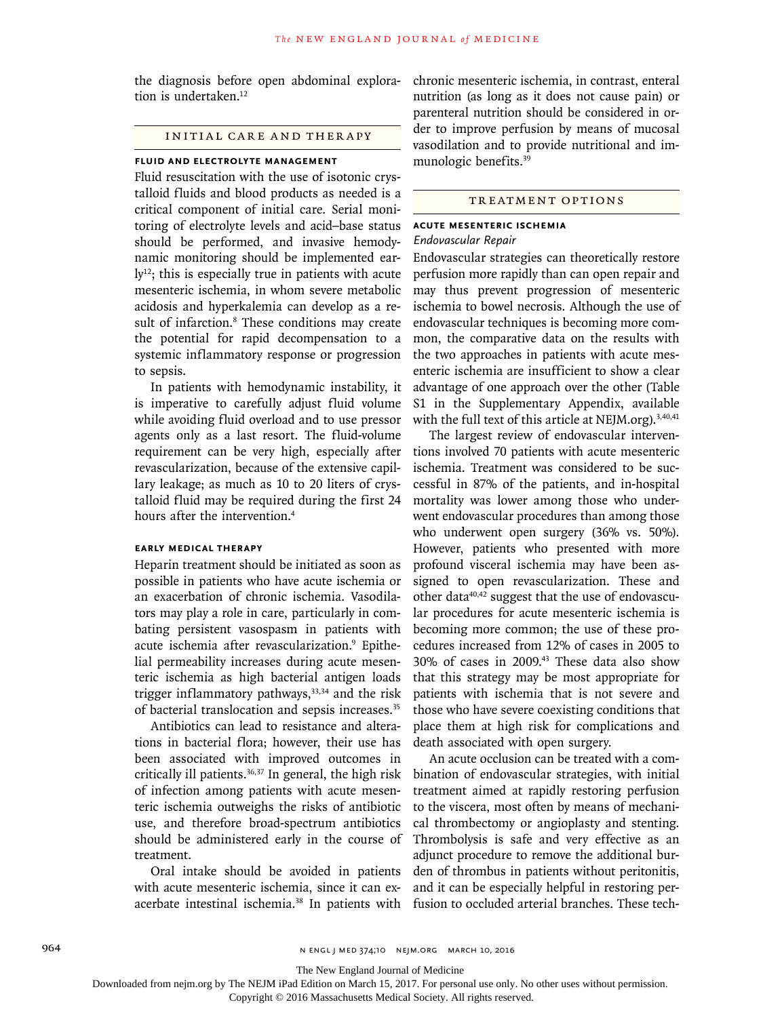the diagnosis before open abdominal exploration is undertaken.<sup>12</sup>

#### Initial Care and Therapy

#### **Fluid and Electrolyte Management**

Fluid resuscitation with the use of isotonic crystalloid fluids and blood products as needed is a critical component of initial care. Serial monitoring of electrolyte levels and acid–base status should be performed, and invasive hemodynamic monitoring should be implemented ear- $\mathrm{Iy}^{12}$ ; this is especially true in patients with acute mesenteric ischemia, in whom severe metabolic acidosis and hyperkalemia can develop as a result of infarction.<sup>8</sup> These conditions may create the potential for rapid decompensation to a systemic inflammatory response or progression to sepsis.

In patients with hemodynamic instability, it is imperative to carefully adjust fluid volume while avoiding fluid overload and to use pressor agents only as a last resort. The fluid-volume requirement can be very high, especially after revascularization, because of the extensive capillary leakage; as much as 10 to 20 liters of crystalloid fluid may be required during the first 24 hours after the intervention.4

#### **Early Medical Therapy**

Heparin treatment should be initiated as soon as possible in patients who have acute ischemia or an exacerbation of chronic ischemia. Vasodilators may play a role in care, particularly in combating persistent vasospasm in patients with acute ischemia after revascularization.<sup>9</sup> Epithelial permeability increases during acute mesenteric ischemia as high bacterial antigen loads trigger inflammatory pathways,  $33,34$  and the risk of bacterial translocation and sepsis increases.<sup>35</sup>

Antibiotics can lead to resistance and alterations in bacterial flora; however, their use has been associated with improved outcomes in critically ill patients. $36,37$  In general, the high risk of infection among patients with acute mesenteric ischemia outweighs the risks of antibiotic use, and therefore broad-spectrum antibiotics should be administered early in the course of treatment.

Oral intake should be avoided in patients with acute mesenteric ischemia, since it can exacerbate intestinal ischemia.<sup>38</sup> In patients with chronic mesenteric ischemia, in contrast, enteral nutrition (as long as it does not cause pain) or parenteral nutrition should be considered in order to improve perfusion by means of mucosal vasodilation and to provide nutritional and immunologic benefits.39

#### Treatment Options

#### **Acute Mesenteric Ischemia** *Endovascular Repair*

Endovascular strategies can theoretically restore perfusion more rapidly than can open repair and may thus prevent progression of mesenteric ischemia to bowel necrosis. Although the use of endovascular techniques is becoming more common, the comparative data on the results with the two approaches in patients with acute mesenteric ischemia are insufficient to show a clear advantage of one approach over the other (Table S1 in the Supplementary Appendix, available with the full text of this article at NEJM.org).<sup>3,40,41</sup>

The largest review of endovascular interventions involved 70 patients with acute mesenteric ischemia. Treatment was considered to be successful in 87% of the patients, and in-hospital mortality was lower among those who underwent endovascular procedures than among those who underwent open surgery (36% vs. 50%). However, patients who presented with more profound visceral ischemia may have been assigned to open revascularization. These and other data<sup>40,42</sup> suggest that the use of endovascular procedures for acute mesenteric ischemia is becoming more common; the use of these procedures increased from 12% of cases in 2005 to 30% of cases in 2009.43 These data also show that this strategy may be most appropriate for patients with ischemia that is not severe and those who have severe coexisting conditions that place them at high risk for complications and death associated with open surgery.

An acute occlusion can be treated with a combination of endovascular strategies, with initial treatment aimed at rapidly restoring perfusion to the viscera, most often by means of mechanical thrombectomy or angioplasty and stenting. Thrombolysis is safe and very effective as an adjunct procedure to remove the additional burden of thrombus in patients without peritonitis, and it can be especially helpful in restoring perfusion to occluded arterial branches. These tech-

The New England Journal of Medicine

Downloaded from nejm.org by The NEJM iPad Edition on March 15, 2017. For personal use only. No other uses without permission.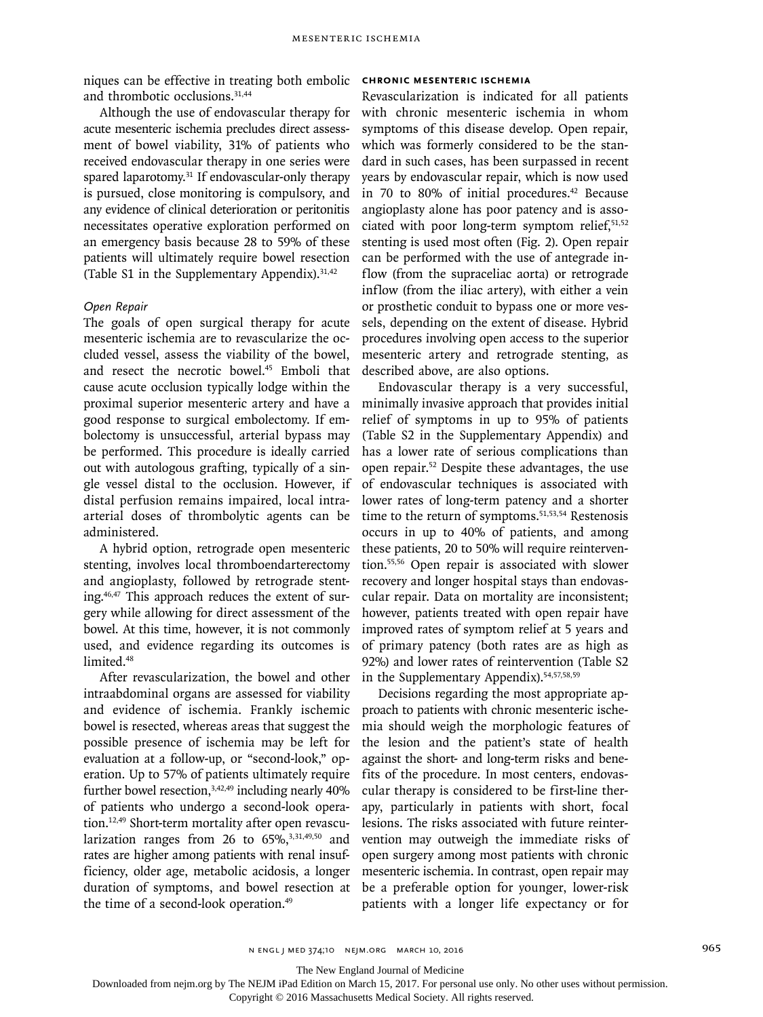niques can be effective in treating both embolic and thrombotic occlusions.31,44

Although the use of endovascular therapy for acute mesenteric ischemia precludes direct assessment of bowel viability, 31% of patients who received endovascular therapy in one series were spared laparotomy.<sup>31</sup> If endovascular-only therapy is pursued, close monitoring is compulsory, and any evidence of clinical deterioration or peritonitis necessitates operative exploration performed on an emergency basis because 28 to 59% of these patients will ultimately require bowel resection (Table S1 in the Supplementary Appendix).  $31,42$ 

#### *Open Repair*

The goals of open surgical therapy for acute mesenteric ischemia are to revascularize the occluded vessel, assess the viability of the bowel, and resect the necrotic bowel.<sup>45</sup> Emboli that cause acute occlusion typically lodge within the proximal superior mesenteric artery and have a good response to surgical embolectomy. If embolectomy is unsuccessful, arterial bypass may be performed. This procedure is ideally carried out with autologous grafting, typically of a single vessel distal to the occlusion. However, if distal perfusion remains impaired, local intraarterial doses of thrombolytic agents can be administered.

A hybrid option, retrograde open mesenteric stenting, involves local thromboendarterectomy and angioplasty, followed by retrograde stenting.46,47 This approach reduces the extent of surgery while allowing for direct assessment of the bowel. At this time, however, it is not commonly used, and evidence regarding its outcomes is limited.<sup>48</sup>

After revascularization, the bowel and other intraabdominal organs are assessed for viability and evidence of ischemia. Frankly ischemic bowel is resected, whereas areas that suggest the possible presence of ischemia may be left for evaluation at a follow-up, or "second-look," operation. Up to 57% of patients ultimately require further bowel resection,  $3,42,49$  including nearly  $40\%$ of patients who undergo a second-look operation.12,49 Short-term mortality after open revascularization ranges from 26 to  $65\%$ ,<sup>3,31,49,50</sup> and rates are higher among patients with renal insufficiency, older age, metabolic acidosis, a longer duration of symptoms, and bowel resection at the time of a second-look operation.<sup>49</sup>

#### **Chronic Mesenteric Ischemia**

Revascularization is indicated for all patients with chronic mesenteric ischemia in whom symptoms of this disease develop. Open repair, which was formerly considered to be the standard in such cases, has been surpassed in recent years by endovascular repair, which is now used in 70 to 80% of initial procedures.<sup>42</sup> Because angioplasty alone has poor patency and is associated with poor long-term symptom relief,<sup>51,52</sup> stenting is used most often (Fig. 2). Open repair can be performed with the use of antegrade inflow (from the supraceliac aorta) or retrograde inflow (from the iliac artery), with either a vein or prosthetic conduit to bypass one or more vessels, depending on the extent of disease. Hybrid procedures involving open access to the superior mesenteric artery and retrograde stenting, as described above, are also options.

Endovascular therapy is a very successful, minimally invasive approach that provides initial relief of symptoms in up to 95% of patients (Table S2 in the Supplementary Appendix) and has a lower rate of serious complications than open repair.52 Despite these advantages, the use of endovascular techniques is associated with lower rates of long-term patency and a shorter time to the return of symptoms.<sup>51,53,54</sup> Restenosis occurs in up to 40% of patients, and among these patients, 20 to 50% will require reintervention.55,56 Open repair is associated with slower recovery and longer hospital stays than endovascular repair. Data on mortality are inconsistent; however, patients treated with open repair have improved rates of symptom relief at 5 years and of primary patency (both rates are as high as 92%) and lower rates of reintervention (Table S2 in the Supplementary Appendix).54,57,58,59

Decisions regarding the most appropriate approach to patients with chronic mesenteric ischemia should weigh the morphologic features of the lesion and the patient's state of health against the short- and long-term risks and benefits of the procedure. In most centers, endovascular therapy is considered to be first-line therapy, particularly in patients with short, focal lesions. The risks associated with future reintervention may outweigh the immediate risks of open surgery among most patients with chronic mesenteric ischemia. In contrast, open repair may be a preferable option for younger, lower-risk patients with a longer life expectancy or for

The New England Journal of Medicine

Downloaded from nejm.org by The NEJM iPad Edition on March 15, 2017. For personal use only. No other uses without permission.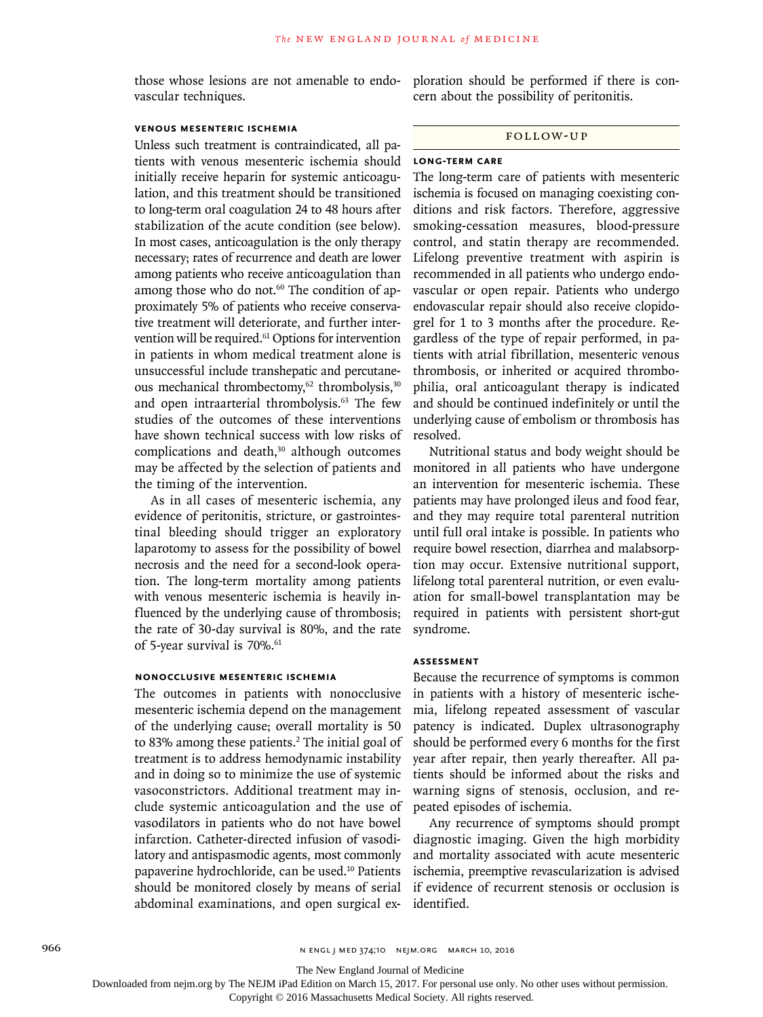those whose lesions are not amenable to endovascular techniques.

#### **Venous Mesenteric Ischemia**

Unless such treatment is contraindicated, all patients with venous mesenteric ischemia should initially receive heparin for systemic anticoagulation, and this treatment should be transitioned to long-term oral coagulation 24 to 48 hours after stabilization of the acute condition (see below). In most cases, anticoagulation is the only therapy necessary; rates of recurrence and death are lower among patients who receive anticoagulation than among those who do not.<sup>60</sup> The condition of approximately 5% of patients who receive conservative treatment will deteriorate, and further intervention will be required.<sup>61</sup> Options for intervention in patients in whom medical treatment alone is unsuccessful include transhepatic and percutaneous mechanical thrombectomy,<sup>62</sup> thrombolysis,<sup>30</sup> and open intraarterial thrombolysis.<sup>63</sup> The few studies of the outcomes of these interventions have shown technical success with low risks of complications and death, $30$  although outcomes may be affected by the selection of patients and the timing of the intervention.

As in all cases of mesenteric ischemia, any evidence of peritonitis, stricture, or gastrointestinal bleeding should trigger an exploratory laparotomy to assess for the possibility of bowel necrosis and the need for a second-look operation. The long-term mortality among patients with venous mesenteric ischemia is heavily influenced by the underlying cause of thrombosis; the rate of 30-day survival is 80%, and the rate of 5-year survival is 70%.<sup>61</sup>

#### **Nonocclusive Mesenteric Ischemia**

The outcomes in patients with nonocclusive mesenteric ischemia depend on the management of the underlying cause; overall mortality is 50 to 83% among these patients.<sup>2</sup> The initial goal of treatment is to address hemodynamic instability and in doing so to minimize the use of systemic vasoconstrictors. Additional treatment may include systemic anticoagulation and the use of vasodilators in patients who do not have bowel infarction. Catheter-directed infusion of vasodilatory and antispasmodic agents, most commonly papaverine hydrochloride, can be used.10 Patients should be monitored closely by means of serial abdominal examinations, and open surgical exploration should be performed if there is concern about the possibility of peritonitis.

#### Follow-up

#### **Long-Term Care**

The long-term care of patients with mesenteric ischemia is focused on managing coexisting conditions and risk factors. Therefore, aggressive smoking-cessation measures, blood-pressure control, and statin therapy are recommended. Lifelong preventive treatment with aspirin is recommended in all patients who undergo endovascular or open repair. Patients who undergo endovascular repair should also receive clopidogrel for 1 to 3 months after the procedure. Regardless of the type of repair performed, in patients with atrial fibrillation, mesenteric venous thrombosis, or inherited or acquired thrombophilia, oral anticoagulant therapy is indicated and should be continued indefinitely or until the underlying cause of embolism or thrombosis has resolved.

Nutritional status and body weight should be monitored in all patients who have undergone an intervention for mesenteric ischemia. These patients may have prolonged ileus and food fear, and they may require total parenteral nutrition until full oral intake is possible. In patients who require bowel resection, diarrhea and malabsorption may occur. Extensive nutritional support, lifelong total parenteral nutrition, or even evaluation for small-bowel transplantation may be required in patients with persistent short-gut syndrome.

#### **Assessment**

Because the recurrence of symptoms is common in patients with a history of mesenteric ischemia, lifelong repeated assessment of vascular patency is indicated. Duplex ultrasonography should be performed every 6 months for the first year after repair, then yearly thereafter. All patients should be informed about the risks and warning signs of stenosis, occlusion, and repeated episodes of ischemia.

Any recurrence of symptoms should prompt diagnostic imaging. Given the high morbidity and mortality associated with acute mesenteric ischemia, preemptive revascularization is advised if evidence of recurrent stenosis or occlusion is identified.

Downloaded from nejm.org by The NEJM iPad Edition on March 15, 2017. For personal use only. No other uses without permission.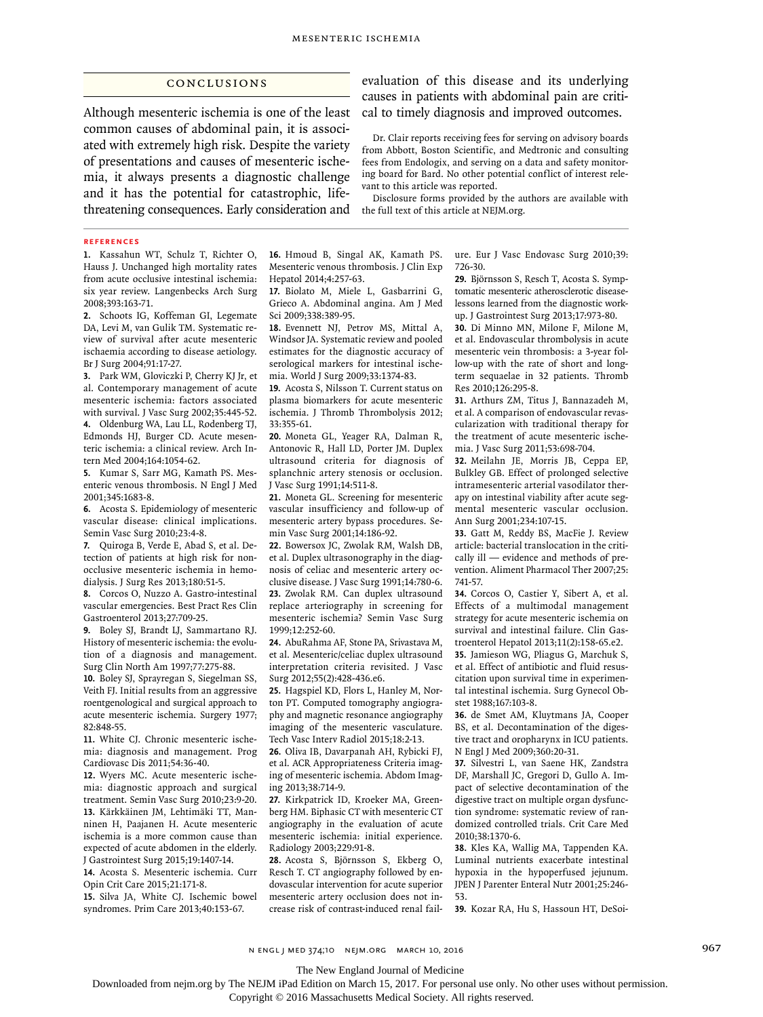#### Conclusions

Although mesenteric ischemia is one of the least common causes of abdominal pain, it is associated with extremely high risk. Despite the variety of presentations and causes of mesenteric ischemia, it always presents a diagnostic challenge and it has the potential for catastrophic, lifethreatening consequences. Early consideration and

evaluation of this disease and its underlying causes in patients with abdominal pain are critical to timely diagnosis and improved outcomes.

Dr. Clair reports receiving fees for serving on advisory boards from Abbott, Boston Scientific, and Medtronic and consulting fees from Endologix, and serving on a data and safety monitoring board for Bard. No other potential conflict of interest relevant to this article was reported.

Disclosure forms provided by the authors are available with the full text of this article at NEJM.org.

#### **References**

**1.** Kassahun WT, Schulz T, Richter O, Hauss J. Unchanged high mortality rates from acute occlusive intestinal ischemia: six year review. Langenbecks Arch Surg 2008;393:163-71.

**2.** Schoots IG, Koffeman GI, Legemate DA, Levi M, van Gulik TM. Systematic review of survival after acute mesenteric ischaemia according to disease aetiology. Br J Surg 2004;91:17-27.

**3.** Park WM, Gloviczki P, Cherry KJ Jr, et al. Contemporary management of acute mesenteric ischemia: factors associated with survival. J Vasc Surg 2002;35:445-52. **4.** Oldenburg WA, Lau LL, Rodenberg TJ, Edmonds HJ, Burger CD. Acute mesenteric ischemia: a clinical review. Arch Intern Med 2004;164:1054-62.

**5.** Kumar S, Sarr MG, Kamath PS. Mesenteric venous thrombosis. N Engl J Med 2001;345:1683-8.

**6.** Acosta S. Epidemiology of mesenteric vascular disease: clinical implications. Semin Vasc Surg 2010;23:4-8.

**7.** Quiroga B, Verde E, Abad S, et al. Detection of patients at high risk for nonocclusive mesenteric ischemia in hemodialysis. J Surg Res 2013;180:51-5.

**8.** Corcos O, Nuzzo A. Gastro-intestinal vascular emergencies. Best Pract Res Clin Gastroenterol 2013;27:709-25.

**9.** Boley SJ, Brandt LJ, Sammartano RJ. History of mesenteric ischemia: the evolution of a diagnosis and management. Surg Clin North Am 1997;77:275-88.

**10.** Boley SJ, Sprayregan S, Siegelman SS, Veith FJ. Initial results from an aggressive roentgenological and surgical approach to acute mesenteric ischemia. Surgery 1977; 82:848-55.

**11.** White CJ. Chronic mesenteric ischemia: diagnosis and management. Prog Cardiovasc Dis 2011;54:36-40.

**12.** Wyers MC. Acute mesenteric ischemia: diagnostic approach and surgical treatment. Semin Vasc Surg 2010;23:9-20. **13.** Kärkkäinen JM, Lehtimäki TT, Manninen H, Paajanen H. Acute mesenteric ischemia is a more common cause than expected of acute abdomen in the elderly. J Gastrointest Surg 2015;19:1407-14.

**14.** Acosta S. Mesenteric ischemia. Curr Opin Crit Care 2015;21:171-8.

**15.** Silva JA, White CJ. Ischemic bowel syndromes. Prim Care 2013;40:153-67.

**16.** Hmoud B, Singal AK, Kamath PS. Mesenteric venous thrombosis. J Clin Exp Hepatol 2014;4:257-63.

**17.** Biolato M, Miele L, Gasbarrini G, Grieco A. Abdominal angina. Am J Med Sci 2009;338:389-95.

**18.** Evennett NJ, Petrov MS, Mittal A, Windsor JA. Systematic review and pooled estimates for the diagnostic accuracy of serological markers for intestinal ischemia. World J Surg 2009;33:1374-83.

**19.** Acosta S, Nilsson T. Current status on plasma biomarkers for acute mesenteric ischemia. J Thromb Thrombolysis 2012; 33:355-61.

**20.** Moneta GL, Yeager RA, Dalman R, Antonovic R, Hall LD, Porter JM. Duplex ultrasound criteria for diagnosis of splanchnic artery stenosis or occlusion. J Vasc Surg 1991;14:511-8.

**21.** Moneta GL. Screening for mesenteric vascular insufficiency and follow-up of mesenteric artery bypass procedures. Semin Vasc Surg 2001;14:186-92.

**22.** Bowersox JC, Zwolak RM, Walsh DB, et al. Duplex ultrasonography in the diagnosis of celiac and mesenteric artery occlusive disease. J Vasc Surg 1991;14:780-6. **23.** Zwolak RM. Can duplex ultrasound replace arteriography in screening for mesenteric ischemia? Semin Vasc Surg 1999;12:252-60.

**24.** AbuRahma AF, Stone PA, Srivastava M, et al. Mesenteric/celiac duplex ultrasound interpretation criteria revisited. J Vasc Surg 2012;55(2):428-436.e6.

**25.** Hagspiel KD, Flors L, Hanley M, Norton PT. Computed tomography angiography and magnetic resonance angiography imaging of the mesenteric vasculature. Tech Vasc Interv Radiol 2015;18:2-13.

**26.** Oliva IB, Davarpanah AH, Rybicki FJ, et al. ACR Appropriateness Criteria imaging of mesenteric ischemia. Abdom Imaging 2013;38:714-9.

**27.** Kirkpatrick ID, Kroeker MA, Greenberg HM. Biphasic CT with mesenteric CT angiography in the evaluation of acute mesenteric ischemia: initial experience. Radiology 2003;229:91-8.

**28.** Acosta S, Björnsson S, Ekberg O, Resch T. CT angiography followed by endovascular intervention for acute superior mesenteric artery occlusion does not increase risk of contrast-induced renal failure. Eur J Vasc Endovasc Surg 2010;39: 726-30.

**29.** Björnsson S, Resch T, Acosta S. Symptomatic mesenteric atherosclerotic diseaselessons learned from the diagnostic workup. J Gastrointest Surg 2013;17:973-80.

**30.** Di Minno MN, Milone F, Milone M, et al. Endovascular thrombolysis in acute mesenteric vein thrombosis: a 3-year follow-up with the rate of short and longterm sequaelae in 32 patients. Thromb Res 2010;126:295-8.

**31.** Arthurs ZM, Titus J, Bannazadeh M, et al. A comparison of endovascular revascularization with traditional therapy for the treatment of acute mesenteric ischemia. J Vasc Surg 2011;53:698-704.

**32.** Meilahn JE, Morris JB, Ceppa EP, Bulkley GB. Effect of prolonged selective intramesenteric arterial vasodilator therapy on intestinal viability after acute segmental mesenteric vascular occlusion. Ann Surg 2001;234:107-15.

**33.** Gatt M, Reddy BS, MacFie J. Review article: bacterial translocation in the critically ill — evidence and methods of prevention. Aliment Pharmacol Ther 2007;25: 741-57.

**34.** Corcos O, Castier Y, Sibert A, et al. Effects of a multimodal management strategy for acute mesenteric ischemia on survival and intestinal failure. Clin Gastroenterol Hepatol 2013;11(2):158-65.e2.

**35.** Jamieson WG, Pliagus G, Marchuk S, et al. Effect of antibiotic and fluid resuscitation upon survival time in experimental intestinal ischemia. Surg Gynecol Obstet 1988;167:103-8.

**36.** de Smet AM, Kluytmans JA, Cooper BS, et al. Decontamination of the digestive tract and oropharynx in ICU patients. N Engl J Med 2009;360:20-31.

**37.** Silvestri L, van Saene HK, Zandstra DF, Marshall JC, Gregori D, Gullo A. Impact of selective decontamination of the digestive tract on multiple organ dysfunction syndrome: systematic review of randomized controlled trials. Crit Care Med 2010;38:1370-6.

**38.** Kles KA, Wallig MA, Tappenden KA. Luminal nutrients exacerbate intestinal hypoxia in the hypoperfused jejunum. JPEN J Parenter Enteral Nutr 2001;25:246- 53.

**39.** Kozar RA, Hu S, Hassoun HT, DeSoi-

n engl j med 374;10 nejm.org March 10, 2016 967

The New England Journal of Medicine

Downloaded from nejm.org by The NEJM iPad Edition on March 15, 2017. For personal use only. No other uses without permission.